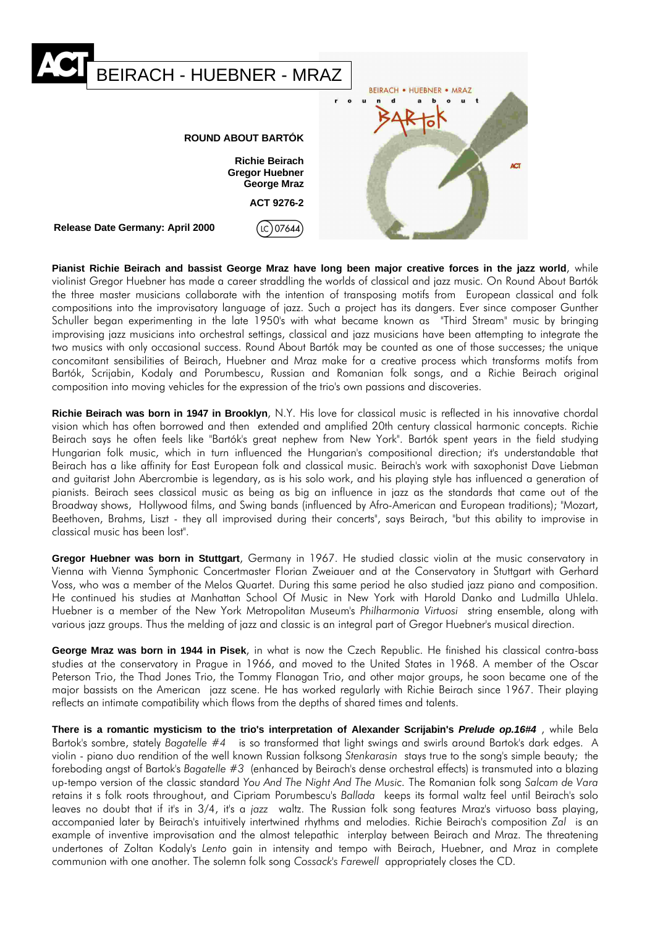

**Pianist Richie Beirach and bassist George Mraz have long been major creative forces in the jazz world**, while violinist Gregor Huebner has made a career straddling the worlds of classical and jazz music. On Round About Bartók the three master musicians collaborate with the intention of transposing motifs from European classical and folk compositions into the improvisatory language of jazz. Such a project has its dangers. Ever since composer Gunther Schuller began experimenting in the late 1950's with what became known as "Third Stream" music by bringing improvising jazz musicians into orchestral settings, classical and jazz musicians have been attempting to integrate the two musics with only occasional success. Round About Bartók may be counted as one of those successes; the unique concomitant sensibilities of Beirach, Huebner and Mraz make for a creative process which transforms motifs from Bartók, Scrijabin, Kodaly and Porumbescu, Russian and Romanian folk songs, and a Richie Beirach original composition into moving vehicles for the expression of the trio's own passions and discoveries.

**Richie Beirach was born in 1947 in Brooklyn**, N.Y. His love for classical music is reflected in his innovative chordal vision which has often borrowed and then extended and amplified 20th century classical harmonic concepts. Richie Beirach says he often feels like "Bartók's great nephew from New York". Bartók spent years in the field studying Hungarian folk music, which in turn influenced the Hungarian's compositional direction; it's understandable that Beirach has a like affinity for East European folk and classical music. Beirach's work with saxophonist Dave Liebman and guitarist John Abercrombie is legendary, as is his solo work, and his playing style has influenced a generation of pianists. Beirach sees classical music as being as big an influence in jazz as the standards that came out of the Broadway shows, Hollywood films, and Swing bands (influenced by Afro-American and European traditions); "Mozart, Beethoven, Brahms, Liszt - they all improvised during their concerts", says Beirach, "but this ability to improvise in classical music has been lost".

**Gregor Huebner was born in Stuttgart**, Germany in 1967. He studied classic violin at the music conservatory in Vienna with Vienna Symphonic Concertmaster Florian Zweiauer and at the Conservatory in Stuttgart with Gerhard Voss, who was a member of the Melos Quartet. During this same period he also studied jazz piano and composition. He continued his studies at Manhattan School Of Music in New York with Harold Danko and Ludmilla Uhlela. Huebner is a member of the New York Metropolitan Museum's *Philharmonia Virtuosi* string ensemble, along with various jazz groups. Thus the melding of jazz and classic is an integral part of Gregor Huebner's musical direction.

**George Mraz was born in 1944 in Pisek**, in what is now the Czech Republic. He finished his classical contra-bass studies at the conservatory in Prague in 1966, and moved to the United States in 1968. A member of the Oscar Peterson Trio, the Thad Jones Trio, the Tommy Flanagan Trio, and other major groups, he soon became one of the major bassists on the American jazz scene. He has worked regularly with Richie Beirach since 1967. Their playing reflects an intimate compatibility which flows from the depths of shared times and talents.

**There is a romantic mysticism to the trio's interpretation of Alexander Scrijabin's** *Prelude op.16#4* , while Bela Bartok's sombre, stately *Bagatelle #4* is so transformed that light swings and swirls around Bartok's dark edges. A violin - piano duo rendition of the well known Russian folksong *Stenkarasin* stays true to the song's simple beauty; the foreboding angst of Bartok's *Bagatelle #3* (enhanced by Beirach's dense orchestral effects) is transmuted into a blazing up-tempo version of the classic standard *You And The Night And The Music.* The Romanian folk song *Salcam de Vara* retains it s folk roots throughout, and Cipriam Porumbescu's *Ballada* keeps its formal waltz feel until Beirach's solo leaves no doubt that if it's in 3/4, it's a *jazz* waltz. The Russian folk song features Mraz's virtuoso bass playing, accompanied later by Beirach's intuitively intertwined rhythms and melodies. Richie Beirach's composition *Zal* is an example of inventive improvisation and the almost telepathic interplay between Beirach and Mraz. The threatening undertones of Zoltan Kodaly's *Lento* gain in intensity and tempo with Beirach, Huebner, and Mraz in complete communion with one another. The solemn folk song *Cossack's Farewell* appropriately closes the CD.